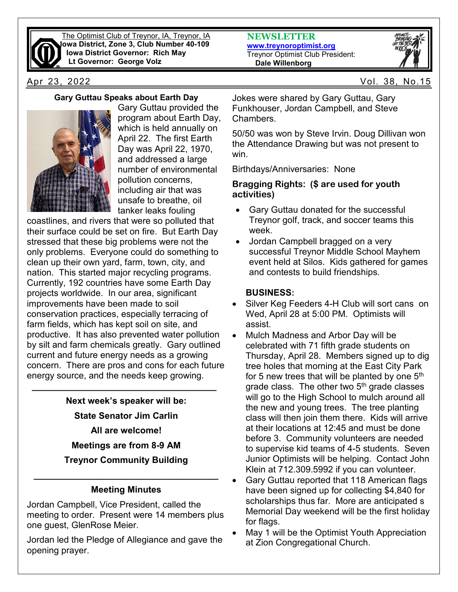

The Optimist Club of Treynor, IA, Treynor, IA **Iowa District, Zone 3, Club Number 40-109 Iowa District Governor: Rich May Lt Governor: George Volz**

# **Gary Guttau Speaks about Earth Day**



Gary Guttau provided the program about Earth Day, which is held annually on April 22. The first Earth Day was April 22, 1970, and addressed a large number of environmental pollution concerns, including air that was unsafe to breathe, oil tanker leaks fouling

coastlines, and rivers that were so polluted that their surface could be set on fire. But Earth Day stressed that these big problems were not the only problems. Everyone could do something to clean up their own yard, farm, town, city, and nation. This started major recycling programs. Currently, 192 countries have some Earth Day projects worldwide. In our area, significant improvements have been made to soil conservation practices, especially terracing of farm fields, which has kept soil on site, and productive. It has also prevented water pollution by silt and farm chemicals greatly. Gary outlined current and future energy needs as a growing concern. There are pros and cons for each future energy source, and the needs keep growing.

> **Next week's speaker will be: State Senator Jim Carlin All are welcome! Meetings are from 8-9 AM Treynor Community Building**

 **\_\_\_\_\_\_\_\_\_\_\_\_\_\_\_\_\_\_\_\_\_\_\_\_\_\_\_\_\_\_\_\_\_\_\_\_\_**

## **\_\_\_\_\_\_\_\_\_\_\_\_\_\_\_\_\_\_\_\_\_\_\_\_\_\_\_\_\_\_\_\_\_\_\_\_\_ Meeting Minutes**

Jordan Campbell, Vice President, called the meeting to order. Present were 14 members plus one guest, GlenRose Meier.

Jordan led the Pledge of Allegiance and gave the opening prayer.

**NEWSLETTER [www.treynoroptimist.org](http://www.treynoroptimist.org/)** Treynor Optimist Club President:  **Dale Willenborg**



Apr 23, 2022 Vol. 38, No.15

Jokes were shared by Gary Guttau, Gary Funkhouser, Jordan Campbell, and Steve **Chambers** 

50/50 was won by Steve Irvin. Doug Dillivan won the Attendance Drawing but was not present to win.

Birthdays/Anniversaries: None

#### **Bragging Rights: (\$ are used for youth activities)**

- Gary Guttau donated for the successful Treynor golf, track, and soccer teams this week.
- Jordan Campbell bragged on a very successful Treynor Middle School Mayhem event held at Silos. Kids gathered for games and contests to build friendships.

## **BUSINESS:**

- Silver Keg Feeders 4-H Club will sort cans on Wed, April 28 at 5:00 PM. Optimists will assist.
- Mulch Madness and Arbor Day will be celebrated with 71 fifth grade students on Thursday, April 28. Members signed up to dig tree holes that morning at the East City Park for 5 new trees that will be planted by one  $5<sup>th</sup>$ grade class. The other two  $5<sup>th</sup>$  grade classes will go to the High School to mulch around all the new and young trees. The tree planting class will then join them there. Kids will arrive at their locations at 12:45 and must be done before 3. Community volunteers are needed to supervise kid teams of 4-5 students. Seven Junior Optimists will be helping. Contact John Klein at 712.309.5992 if you can volunteer.
- Gary Guttau reported that 118 American flags have been signed up for collecting \$4,840 for scholarships thus far. More are anticipated s Memorial Day weekend will be the first holiday for flags.
- May 1 will be the Optimist Youth Appreciation at Zion Congregational Church.